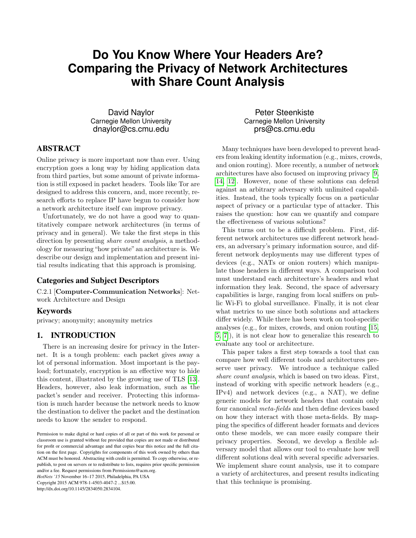# **Do You Know Where Your Headers Are? Comparing the Privacy of Network Architectures with Share Count Analysis**

David Naylor Carnegie Mellon University dnaylor@cs.cmu.edu

### ABSTRACT

Online privacy is more important now than ever. Using encryption goes a long way by hiding application data from third parties, but some amount of private information is still exposed in packet headers. Tools like Tor are designed to address this concern, and, more recently, research efforts to replace IP have begun to consider how a network architecture itself can improve privacy.

Unfortunately, we do not have a good way to quantitatively compare network architectures (in terms of privacy and in general). We take the first steps in this direction by presenting *share count analysis*, a methodology for measuring "how private" an architecture is. We describe our design and implementation and present initial results indicating that this approach is promising.

#### Categories and Subject Descriptors

C.2.1 [Computer-Communication Networks]: Network Architecture and Design

#### Keywords

privacy; anonymity; anonymity metrics

# 1. INTRODUCTION

There is an increasing desire for privacy in the Internet. It is a tough problem: each packet gives away a lot of personal information. Most important is the payload; fortunately, encryption is an effective way to hide this content, illustrated by the growing use of TLS [\[13\]](#page-6-0). Headers, however, also leak information, such as the packet's sender and receiver. Protecting this information is much harder because the network needs to know the destination to deliver the packet and the destination needs to know the sender to respond.

Peter Steenkiste Carnegie Mellon University prs@cs.cmu.edu

Many techniques have been developed to prevent headers from leaking identity information (e.g., mixes, crowds, and onion routing). More recently, a number of network architectures have also focused on improving privacy [\[9,](#page-6-1) [14,](#page-6-2) [12\]](#page-6-3). However, none of these solutions can defend against an arbitrary adversary with unlimited capabilities. Instead, the tools typically focus on a particular aspect of privacy or a particular type of attacker. This raises the question: how can we quantify and compare the effectiveness of various solutions?

This turns out to be a difficult problem. First, different network architectures use different network headers, an adversary's primary information source, and different network deployments may use different types of devices (e.g., NATs or onion routers) which manipulate those headers in different ways. A comparison tool must understand each architecture's headers and what information they leak. Second, the space of adversary capabilities is large, ranging from local sniffers on public Wi-Fi to global surveillance. Finally, it is not clear what metrics to use since both solutions and attackers differ widely. While there has been work on tool-specific analyses (e.g., for mixes, crowds, and onion routing [\[15,](#page-6-4) [5,](#page-6-5) [7\]](#page-6-6)), it is not clear how to generalize this research to evaluate any tool or architecture.

This paper takes a first step towards a tool that can compare how well different tools and architectures preserve user privacy. We introduce a technique called share count analysis, which is based on two ideas. First, instead of working with specific network headers (e.g., IPv4) and network devices (e.g., a NAT), we define generic models for network headers that contain only four canonical meta-fields and then define devices based on how they interact with those meta-fields. By mapping the specifics of different header formats and devices onto these models, we can more easily compare their privacy properties. Second, we develop a flexible adversary model that allows our tool to evaluate how well different solutions deal with several specific adversaries. We implement share count analysis, use it to compare a variety of architectures, and present results indicating that this technique is promising.

Permission to make digital or hard copies of all or part of this work for personal or classroom use is granted without fee provided that copies are not made or distributed for profit or commercial advantage and that copies bear this notice and the full citation on the first page. Copyrights for components of this work owned by others than ACM must be honored. Abstracting with credit is permitted. To copy otherwise, or republish, to post on servers or to redistribute to lists, requires prior specific permission and/or a fee. Request permissions from Permissions@acm.org. *HotNets '15* November 16–17 2015, Philadelphia, PA USA Copyright 2015 ACM 978-1-4503-4047-2 ...\$15.00. http://dx.doi.org/10.1145/2834050.2834104.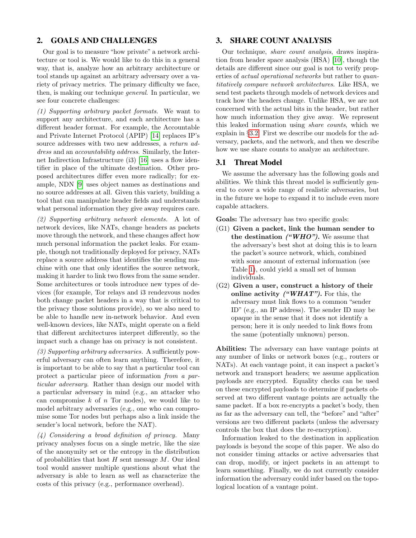# 2. GOALS AND CHALLENGES

Our goal is to measure "how private" a network architecture or tool is. We would like to do this in a general way, that is, analyze how an arbitrary architecture or tool stands up against an arbitrary adversary over a variety of privacy metrics. The primary difficulty we face, then, is making our technique general. In particular, we see four concrete challenges:

(1) Supporting arbitrary packet formats. We want to support any architecture, and each architecture has a different header format. For example, the Accountable and Private Internet Protocol (APIP) [\[14\]](#page-6-2) replaces IP's source addresses with two new addresses, a return address and an accountability address. Similarly, the Internet Indirection Infrastructure (i3) [\[16\]](#page-6-7) uses a flow identifier in place of the ultimate destination. Other proposed architectures differ even more radically; for example, NDN [\[9\]](#page-6-1) uses object names as destinations and no source addresses at all. Given this variety, building a tool that can manipulate header fields and understands what personal information they give away requires care.

(2) Supporting arbitrary network elements. A lot of network devices, like NATs, change headers as packets move through the network, and these changes affect how much personal information the packet leaks. For example, though not traditionally deployed for privacy, NATs replace a source address that identifies the sending machine with one that only identifies the source network, making it harder to link two flows from the same sender. Some architectures or tools introduce new types of devices (for example, Tor relays and i3 rendezvous nodes both change packet headers in a way that is critical to the privacy those solutions provide), so we also need to be able to handle new in-network behavior. And even well-known devices, like NATs, might operate on a field that different architectures interpret differently, so the impact such a change has on privacy is not consistent.

 $(3)$  Supporting arbitrary adversaries. A sufficiently powerful adversary can often learn anything. Therefore, it is important to be able to say that a particular tool can protect a particular piece of information from a particular adversary. Rather than design our model with a particular adversary in mind (e.g., an attacker who can compromise  $k$  of  $n$  Tor nodes), we would like to model arbitrary adversaries (e.g., one who can compromise some Tor nodes but perhaps also a link inside the sender's local network, before the NAT).

(4) Considering a broad definition of privacy. Many privacy analyses focus on a single metric, like the size of the anonymity set or the entropy in the distribution of probabilities that host  $H$  sent message  $M$ . Our ideal tool would answer multiple questions about what the adversary is able to learn as well as characterize the costs of this privacy (e.g., performance overhead).

# 3. SHARE COUNT ANALYSIS

Our technique, share count analysis, draws inspiration from header space analysis (HSA) [\[10\]](#page-6-8), though the details are different since our goal is not to verify properties of actual operational networks but rather to quantitatively compare network architectures. Like HSA, we send test packets through models of network devices and track how the headers change. Unlike HSA, we are not concerned with the actual bits in the header, but rather how much information they give away. We represent this leaked information using share counts, which we explain in §[3.2.](#page-2-0) First we describe our models for the adversary, packets, and the network, and then we describe how we use share counts to analyze an architecture.

### <span id="page-1-0"></span>3.1 Threat Model

We assume the adversary has the following goals and abilities. We think this threat model is sufficiently general to cover a wide range of realistic adversaries, but in the future we hope to expand it to include even more capable attackers.

Goals: The adversary has two specific goals:

- (G1) Given a packet, link the human sender to the destination  $("WHO")$ . We assume that the adversary's best shot at doing this is to learn the packet's source network, which, combined with some amount of external information (see Table [1\)](#page-2-1), could yield a small set of human individuals.
- (G2) Given a user, construct a history of their online activity  $("WHAT")$ . For this, the adversary must link flows to a common "sender ID" (e.g., an IP address). The sender ID may be opaque in the sense that it does not identify a person; here it is only needed to link flows from the same (potentially unknown) person.

Abilities: The adversary can have vantage points at any number of links or network boxes (e.g., routers or NATs). At each vantage point, it can inspect a packet's network and transport headers; we assume application payloads are encrypted. Equality checks can be used on these encrypted payloads to determine if packets observed at two different vantage points are actually the same packet. If a box re-encrypts a packet's body, then as far as the adversary can tell, the "before" and "after" versions are two different packets (unless the adversary controls the box that does the re-encryption).

Information leaked to the destination in application payloads is beyond the scope of this paper. We also do not consider timing attacks or active adversaries that can drop, modify, or inject packets in an attempt to learn something. Finally, we do not currently consider information the adversary could infer based on the topological location of a vantage point.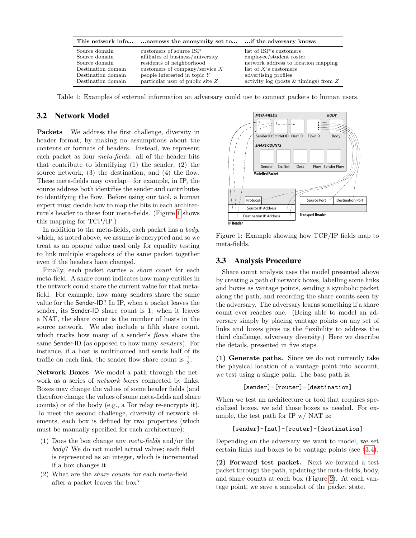<span id="page-2-1"></span>

|                    | This network info  narrows the anonymity set to  if the adversary knows |                                         |
|--------------------|-------------------------------------------------------------------------|-----------------------------------------|
| Source domain      | customers of source ISP                                                 | list of ISP's customers                 |
| Source domain      | affiliates of business/university                                       | employee/student roster                 |
| Source domain      | residents of neighborhood                                               | network address to location mapping     |
| Destination domain | customers of company/service $X$                                        | list of $X$ 's customers                |
| Destination domain | people interested in topic $Y$                                          | advertising profiles                    |
| Destination domain | particular user of public site $Z$                                      | activity $log (posts \& timing) from Z$ |

Table 1: Examples of external information an adversary could use to connect packets to human users.

# <span id="page-2-0"></span>3.2 Network Model

Packets We address the first challenge, diversity in header format, by making no assumptions about the contents or formats of headers. Instead, we represent each packet as four meta-fields: all of the header bits that contribute to identifying (1) the sender, (2) the source network, (3) the destination, and (4) the flow. These meta-fields may overlap—for example, in IP, the source address both identifies the sender and contributes to identifying the flow. Before using our tool, a human expert must decide how to map the bits in each architecture's header to these four meta-fields. (Figure [1](#page-2-2) shows this mapping for TCP/IP.)

In addition to the meta-fields, each packet has a body, which, as noted above, we assume is encrypted and so we treat as an opaque value used only for equality testing to link multiple snapshots of the same packet together even if the headers have changed.

Finally, each packet carries a share count for each meta-field. A share count indicates how many entities in the network could share the current value for that metafield. For example, how many senders share the same value for the Sender-ID? In IP, when a packet leaves the sender, its Sender-ID share count is 1; when it leaves a NAT, the share count is the number of hosts in the source network. We also include a fifth share count, which tracks how many of a sender's *flows* share the same Sender-ID (as opposed to how many senders). For instance, if a host is multihomed and sends half of its traffic on each link, the sender flow share count is  $\frac{1}{2}$ .

Network Boxes We model a path through the network as a series of *network boxes* connected by links. Boxes may change the values of some header fields (and therefore change the values of some meta-fields and share counts) or of the body (e.g., a Tor relay re-encrypts it). To meet the second challenge, diversity of network elements, each box is defined by two properties (which must be manually specified for each architecture):

- (1) Does the box change any meta-fields and/or the body? We do not model actual values; each field is represented as an integer, which is incremented if a box changes it.
- (2) What are the share counts for each meta-field after a packet leaves the box?

<span id="page-2-2"></span>

Figure 1: Example showing how TCP/IP fields map to meta-fields.

## <span id="page-2-3"></span>3.3 Analysis Procedure

Share count analysis uses the model presented above by creating a path of network boxes, labelling some links and boxes as vantage points, sending a symbolic packet along the path, and recording the share counts seen by the adversary. The adversary learns something if a share count ever reaches one. (Being able to model an adversary simply by placing vantage points on any set of links and boxes gives us the flexibility to address the third challenge, adversary diversity.) Here we describe the details, presented in five steps.

(1) Generate paths. Since we do not currently take the physical location of a vantage point into account, we test using a single path. The base path is:

[sender]-[router]-[destination]

When we test an architecture or tool that requires specialized boxes, we add those boxes as needed. For example, the test path for IP w/ NAT is:

```
[sender]-[nat]-[router]-[destination]
```
Depending on the adversary we want to model, we set certain links and boxes to be vantage points (see §[3.4\)](#page-3-0).

(2) Forward test packet. Next we forward a test packet through the path, updating the meta-fields, body, and share counts at each box (Figure [2\)](#page-3-1). At each vantage point, we save a snapshot of the packet state.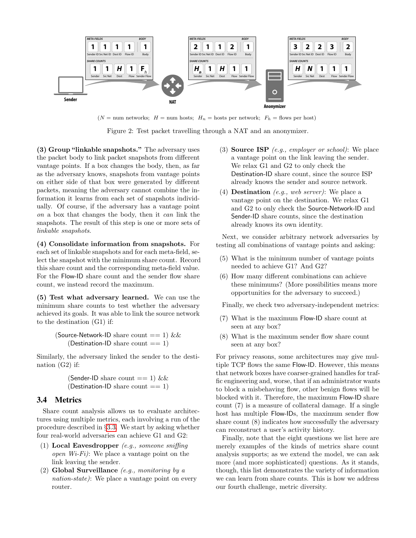<span id="page-3-1"></span>

 $(N =$  num networks;  $H =$  num hosts;  $H_n =$  hosts per network;  $F_h =$  flows per host)

Figure 2: Test packet travelling through a NAT and an anonymizer.

(3) Group "linkable snapshots." The adversary uses the packet body to link packet snapshots from different vantage points. If a box changes the body, then, as far as the adversary knows, snapshots from vantage points on either side of that box were generated by different packets, meaning the adversary cannot combine the information it learns from each set of snapshots individually. Of course, if the adversary has a vantage point on a box that changes the body, then it can link the snapshots. The result of this step is one or more sets of linkable snapshots.

(4) Consolidate information from snapshots. For each set of linkable snapshots and for each meta-field, select the snapshot with the minimum share count. Record this share count and the corresponding meta-field value. For the Flow-ID share count and the sender flow share count, we instead record the maximum.

(5) Test what adversary learned. We can use the minimum share counts to test whether the adversary achieved its goals. It was able to link the source network to the destination (G1) if:

> (Source-Network-ID share count  $== 1)$  & & (Destination-ID share count  $== 1$ )

Similarly, the adversary linked the sender to the destination (G2) if:

```
(Sender-ID share count == 1) & &
(Destination-ID share count == 1)
```
## <span id="page-3-0"></span>3.4 Metrics

Share count analysis allows us to evaluate architectures using multiple metrics, each involving a run of the procedure described in §[3.3.](#page-2-3) We start by asking whether four real-world adversaries can achieve G1 and G2:

- (1) Local Eavesdropper  $(e.g., someone\ sniffing)$ *open Wi-Fi)*: We place a vantage point on the link leaving the sender.
- (2) Global Surveillance (e.g., monitoring by a nation-state): We place a vantage point on every router.
- (3) **Source ISP** (e.g., employer or school): We place a vantage point on the link leaving the sender. We relax G1 and G2 to only check the Destination-ID share count, since the source ISP already knows the sender and source network.
- (4) Destination (e.g., web server): We place a vantage point on the destination. We relax G1 and G2 to only check the Source-Network-ID and Sender-ID share counts, since the destination already knows its own identity.

Next, we consider arbitrary network adversaries by testing all combinations of vantage points and asking:

- (5) What is the minimum number of vantage points needed to achieve G1? And G2?
- (6) How many different combinations can achieve these minimums? (More possibilities means more opportunities for the adversary to succeed.)

Finally, we check two adversary-independent metrics:

- (7) What is the maximum Flow-ID share count at seen at any box?
- (8) What is the maximum sender flow share count seen at any box?

For privacy reasons, some architectures may give multiple TCP flows the same Flow-ID. However, this means that network boxes have coarser-grained handles for traffic engineering and, worse, that if an administrator wants to block a misbehaving flow, other benign flows will be blocked with it. Therefore, the maximum Flow-ID share count (7) is a measure of collateral damage. If a single host has multiple Flow-IDs, the maximum sender flow share count (8) indicates how successfully the adversary can reconstruct a user's activity history.

Finally, note that the eight questions we list here are merely examples of the kinds of metrics share count analysis supports; as we extend the model, we can ask more (and more sophisticated) questions. As it stands, though, this list demonstrates the variety of information we can learn from share counts. This is how we address our fourth challenge, metric diversity.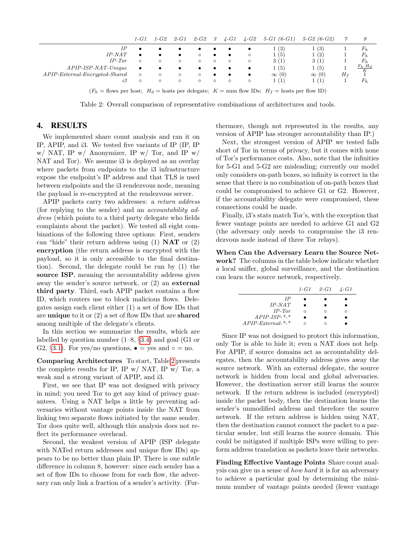<span id="page-4-0"></span>

|                                                                                                                             | 1-G1      | 1-G2      | 2-G1      | $2-G2S$ |           | $\measuredangle$ -G1 | $4 - G2$  | $5 - G1$ (6-G1) | $5-G2(6-G2)$ |       |                 |
|-----------------------------------------------------------------------------------------------------------------------------|-----------|-----------|-----------|---------|-----------|----------------------|-----------|-----------------|--------------|-------|-----------------|
| IΡ                                                                                                                          | $\bullet$ |           |           |         |           | $\bullet$            |           | (3)             | 1(3)         |       | F <sub>b</sub>  |
| $IP-NAT$                                                                                                                    | $\bullet$ | ٠         | $\bullet$ | $\circ$ | $\bullet$ | $\bullet$            | $\circ$   | 1(5)            | 1(2)         |       | $F_h$           |
| $IP-Tor$                                                                                                                    | $\circ$   | $\circ$   | $\circ$   | $\circ$ | $\circ$   | $\circ$              | $\circ$   | 3(1)            | 3(1)         |       |                 |
| $APIP-ISP-NAT-Unique$                                                                                                       | $\bullet$ | $\bullet$ |           |         |           | $\bullet$            | $\bullet$ | 1(5)            | 1(5)         |       | $F_h \cdot H_d$ |
| $APIP-External-Encrypted-Shared$                                                                                            | $\circ$   | $\circ$   | $\circ$   | $\circ$ | $\bullet$ | $\bullet$            |           | $\infty$ (0)    | $\infty$ (0) | $H_f$ |                 |
| i3                                                                                                                          | $\circ$   | $\circ$   | $\circ$   | $\circ$ | $\circ$   | $\circ$              | $\circ$   |                 |              |       | $F_h$           |
| $(F_h = \text{flows per host}; H_d = \text{ hosts per delegate}; K = \text{num flow IDs}; H_f = \text{ hosts per flow ID})$ |           |           |           |         |           |                      |           |                 |              |       |                 |

Table 2: Overall comparison of representative combinations of architectures and tools.

#### 4. RESULTS

We implemented share count analysis and ran it on IP, APIP, and i3. We tested five variants of IP (IP, IP w/ NAT, IP w/ Anonymizer, IP w/ Tor, and IP w/ NAT and Tor). We assume  $13$  is deployed as an overlay where packets from endpoints to the i3 infrastructure expose the endpoint's IP address and that TLS is used between endpoints and the i3 rendezvous node, meaning the payload is re-encrypted at the rendezvous server.

APIP packets carry two addresses: a return address (for replying to the sender) and an accountability address (which points to a third party delegate who fields complaints about the packet). We tested all eight combinations of the following three options: First, senders can "hide" their return address using  $(1)$  **NAT** or  $(2)$ encryption (the return address is encrypted with the payload, so it is only accessible to the final destination). Second, the delegate could be run by (1) the source ISP, meaning the accountability address gives away the sender's source network, or (2) an external third party. Third, each APIP packet contains a flow ID, which routers use to block malicious flows. Delegates assign each client either (1) a set of flow IDs that are **unique** to it or  $(2)$  a set of flow IDs that are **shared** among multiple of the delegate's clients.

In this section we summarize the results, which are labelled by question number  $(1-8, \S 3.4)$  $(1-8, \S 3.4)$  and goal  $(G1$  or G2, §[3.1\)](#page-1-0). For yes/no questions,  $\bullet =$  yes and  $\circ =$  no.

Comparing Architectures To start, Table [2](#page-4-0) presents the complete results for IP, IP w/ NAT, IP w/ Tor, a weak and a strong variant of APIP, and i3.

First, we see that IP was not designed with privacy in mind; you need Tor to get any kind of privacy guarantees. Using a NAT helps a little by preventing adversaries without vantage points inside the NAT from linking two separate flows initiated by the same sender. Tor does quite well, although this analysis does not reflect its performance overhead.

Second, the weakest version of APIP (ISP delegate with NATed return addresses and unique flow IDs) appears to be no better than plain IP. There is one subtle difference in column 8, however: since each sender has a set of flow IDs to choose from for each flow, the adversary can only link a fraction of a sender's activity. (Furthermore, though not represented in the results, any version of APIP has stronger accountability than IP.)

Next, the strongest version of APIP we tested falls short of Tor in terms of privacy, but it comes with none of Tor's performance costs. Also, note that the infinities for 5-G1 and 5-G2 are misleading; currently our model only considers on-path boxes, so infinity is correct in the sense that there is no combination of on-path boxes that could be compromised to achieve G1 or G2. However, if the accountability delegate were compromised, these connections could be made.

Finally, i3's stats match Tor's, with the exception that fewer vantage points are needed to achieve G1 and G2 (the adversary only needs to compromise the i3 rendezvous node instead of three Tor relays).

When Can the Adversary Learn the Source Network? The columns in the table below indicate whether a local sniffer, global surveillance, and the destination can learn the source network, respectively.

|                     | $1-G1$ $2-G1$ $4-G1$ |  |
|---------------------|----------------------|--|
| IP                  |                      |  |
| $IP-NAT$            |                      |  |
| $IP-Tor$            | $\Omega$             |  |
| $APIP-ISP-*$        |                      |  |
| $APIP-External.*.*$ | Ω                    |  |

Since IP was not designed to protect this information, only Tor is able to hide it; even a NAT does not help. For APIP, if source domains act as accountability delegates, then the accountability address gives away the source network. With an external delegate, the source network is hidden from local and global adversaries. However, the destination server still learns the source network. If the return address is included (encrypted) inside the packet body, then the destination learns the sender's unmodified address and therefore the source network. If the return address is hidden using NAT, then the destination cannot connect the packet to a particular sender, but still learns the source domain. This could be mitigated if multiple ISPs were willing to perform address translation as packets leave their networks.

Finding Effective Vantage Points Share count analysis can give us a sense of how hard it is for an adversary to achieve a particular goal by determining the minimum number of vantage points needed (fewer vantage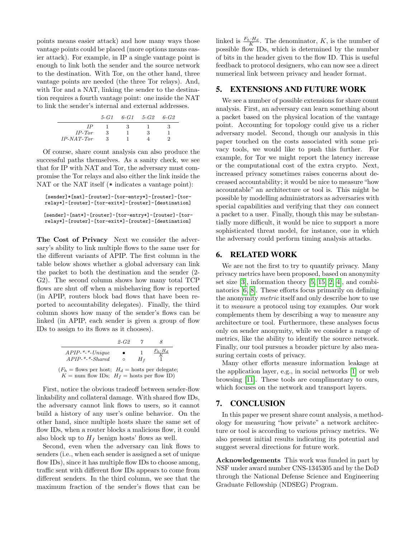points means easier attack) and how many ways those vantage points could be placed (more options means easier attack). For example, in IP a single vantage point is enough to link both the sender and the source network to the destination. With Tor, on the other hand, three vantage points are needed (the three Tor relays). And, with Tor and a NAT, linking the sender to the destination requires a fourth vantage point: one inside the NAT to link the sender's internal and external addresses.

|              | 5-G1 |   | $6 - G1$ $5 - G2$ $6 - G2$ |   |
|--------------|------|---|----------------------------|---|
| IP           |      | З |                            | 3 |
| $IP-Tor$     | З    |   |                            |   |
| $IP-NAT-Tor$ | З    |   |                            |   |

Of course, share count analysis can also produce the successful paths themselves. As a sanity check, we see that for IP with NAT and Tor, the adversary must compromise the Tor relays and also either the link inside the NAT or the NAT itself (\* indicates a vantage point):

```
[sender]*[nat]-[router]-[tor-entry*]-[router]-[tor-
relay*]-[router]-[tor-exit*]-[router]-[destination]
[sender]-[nat*]-[router]-[tor-entry*]-[router]-[tor-
relay*]-[router]-[tor-exit*]-[router]-[destination]
```
The Cost of Privacy Next we consider the adversary's ability to link multiple flows to the same user for the different variants of APIP. The first column in the table below shows whether a global adversary can link the packet to both the destination and the sender (2- G2). The second column shows how many total TCP flows are shut off when a misbehaving flow is reported (in APIP, routers block bad flows that have been reported to accountability delegates). Finally, the third column shows how many of the sender's flows can be linked (in APIP, each sender is given a group of flow IDs to assign to its flows as it chooses).

| $2-G2$                                                                                                                      | $7$ | $8$                       |     |
|-----------------------------------------------------------------------------------------------------------------------------|-----|---------------------------|-----|
| $APIP^{-*}$ - $^*$ - $Unique$                                                                                               | $1$ | $\frac{F_h \cdot H_d}{K}$ |     |
| $APIP^{-*}$ - $^*$ - $Shared$                                                                                               | $0$ | $H_f$                     | $1$ |
| $(F_h = \text{flows per host}; H_d = \text{ hosts per delegate}; K = \text{num flow IDs}; H_f = \text{ hosts per flow ID})$ |     |                           |     |

First, notice the obvious tradeoff between sender-flow linkability and collateral damage. With shared flow IDs, the adversary cannot link flows to users, so it cannot build a history of any user's online behavior. On the other hand, since multiple hosts share the same set of flow IDs, when a router blocks a malicious flow, it could also block up to  $H_f$  benign hosts' flows as well.

Second, even when the adversary can link flows to senders (i.e., when each sender is assigned a set of unique flow IDs), since it has multiple flow IDs to choose among, traffic sent with different flow IDs appears to come from different senders. In the third column, we see that the maximum fraction of the sender's flows that can be

linked is  $\frac{F_h \cdot H_d}{K}$ . The denominator, K, is the number of possible flow IDs, which is determined by the number of bits in the header given to the flow ID. This is useful feedback to protocol designers, who can now see a direct numerical link between privacy and header format.

# 5. EXTENSIONS AND FUTURE WORK

We see a number of possible extensions for share count analysis. First, an adversary can learn something about a packet based on the physical location of the vantage point. Accounting for topology could give us a richer adversary model. Second, though our analysis in this paper touched on the costs associated with some privacy tools, we would like to push this further. For example, for Tor we might report the latency increase or the computational cost of the extra crypto. Next, increased privacy sometimes raises concerns about decreased accountability; it would be nice to measure "how accountable" an architecture or tool is. This might be possible by modelling administrators as adversaries with special capabilities and verifying that they *can* connect a packet to a user. Finally, though this may be substantially more difficult, it would be nice to support a more sophisticated threat model, for instance, one in which the adversary could perform timing analysis attacks.

### 6. RELATED WORK

We are not the first to try to quantify privacy. Many privacy metrics have been proposed, based on anonymity set size [\[3\]](#page-6-9), information theory [\[5,](#page-6-5) [15,](#page-6-4) [2,](#page-6-10) [4\]](#page-6-11), and combinatorics [\[6,](#page-6-12) [8\]](#page-6-13). These efforts focus primarily on defining the anonymity metric itself and only describe how to use it to measure a protocol using toy examples. Our work complements them by describing a way to measure any architecture or tool. Furthermore, these analyses focus only on sender anonymity, while we consider a range of metrics, like the ability to identify the source network. Finally, our tool pursues a broader picture by also measuring certain costs of privacy.

Many other efforts measure information leakage at the application layer, e.g., in social networks [\[1\]](#page-6-14) or web browsing [\[11\]](#page-6-15). These tools are complimentary to ours, which focuses on the network and transport layers.

## 7. CONCLUSION

In this paper we present share count analysis, a methodology for measuring "how private" a network architecture or tool is according to various privacy metrics. We also present initial results indicating its potential and suggest several directions for future work.

Acknowledgements This work was funded in part by NSF under award number CNS-1345305 and by the DoD through the National Defense Science and Engineering Graduate Fellowship (NDSEG) Program.